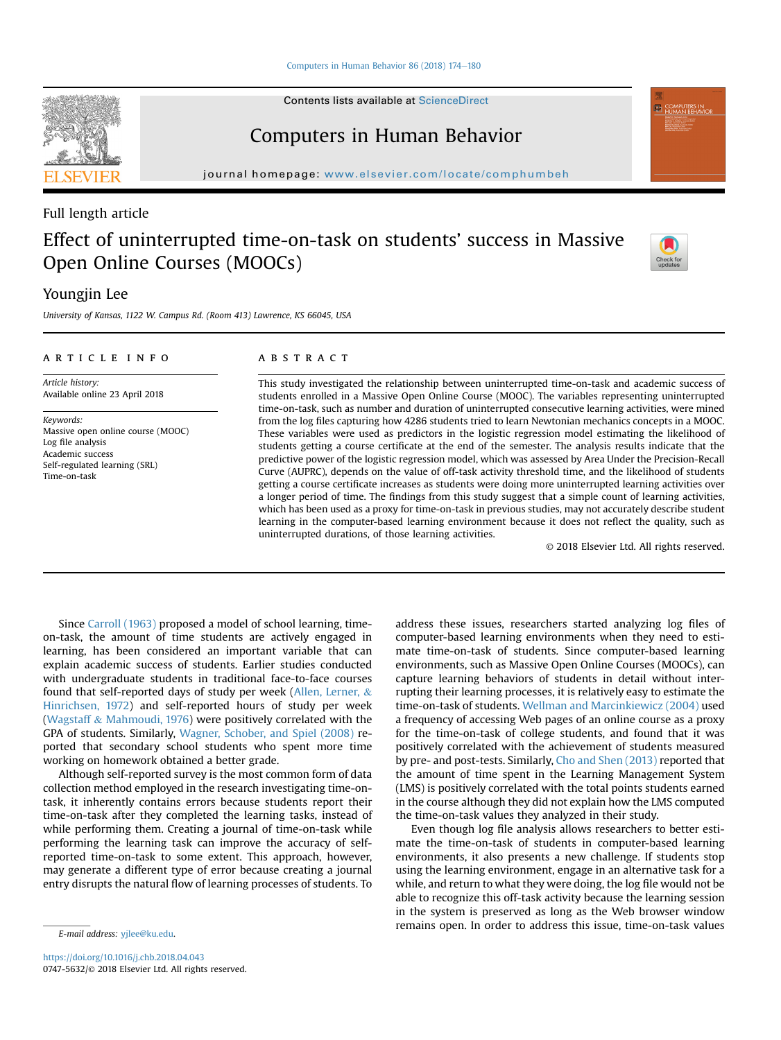Contents lists available at ScienceDirect

# Computers in Human Behavior

journal homepage: <www.elsevier.com/locate/comphumbeh>

## Full length article

# Effect of uninterrupted time-on-task on students' success in Massive Open Online Courses (MOOCs)

## Youngjin Lee

University of Kansas, 1122 W. Campus Rd. (Room 413) Lawrence, KS 66045, USA

### article info

Article history: Available online 23 April 2018

Keywords: Massive open online course (MOOC) Log file analysis Academic success Self-regulated learning (SRL) Time-on-task

#### **ABSTRACT**

This study investigated the relationship between uninterrupted time-on-task and academic success of students enrolled in a Massive Open Online Course (MOOC). The variables representing uninterrupted time-on-task, such as number and duration of uninterrupted consecutive learning activities, were mined from the log files capturing how 4286 students tried to learn Newtonian mechanics concepts in a MOOC. These variables were used as predictors in the logistic regression model estimating the likelihood of students getting a course certificate at the end of the semester. The analysis results indicate that the predictive power of the logistic regression model, which was assessed by Area Under the Precision-Recall Curve (AUPRC), depends on the value of off-task activity threshold time, and the likelihood of students getting a course certificate increases as students were doing more uninterrupted learning activities over a longer period of time. The findings from this study suggest that a simple count of learning activities, which has been used as a proxy for time-on-task in previous studies, may not accurately describe student learning in the computer-based learning environment because it does not reflect the quality, such as uninterrupted durations, of those learning activities.

© 2018 Elsevier Ltd. All rights reserved.

Since [Carroll \(1963\)](#page-5-0) proposed a model of school learning, timeon-task, the amount of time students are actively engaged in learning, has been considered an important variable that can explain academic success of students. Earlier studies conducted with undergraduate students in traditional face-to-face courses found that self-reported days of study per week [\(Allen, Lerner,](#page-5-0) & [Hinrichsen, 1972\)](#page-5-0) and self-reported hours of study per week ([Wagstaff](#page-6-0) & [Mahmoudi, 1976](#page-6-0)) were positively correlated with the GPA of students. Similarly, [Wagner, Schober, and Spiel \(2008\)](#page-6-0) reported that secondary school students who spent more time working on homework obtained a better grade.

Although self-reported survey is the most common form of data collection method employed in the research investigating time-ontask, it inherently contains errors because students report their time-on-task after they completed the learning tasks, instead of while performing them. Creating a journal of time-on-task while performing the learning task can improve the accuracy of selfreported time-on-task to some extent. This approach, however, may generate a different type of error because creating a journal entry disrupts the natural flow of learning processes of students. To computer-based learning environments when they need to estimate time-on-task of students. Since computer-based learning environments, such as Massive Open Online Courses (MOOCs), can capture learning behaviors of students in detail without interrupting their learning processes, it is relatively easy to estimate the time-on-task of students. [Wellman and Marcinkiewicz \(2004\)](#page-6-0) used a frequency of accessing Web pages of an online course as a proxy for the time-on-task of college students, and found that it was positively correlated with the achievement of students measured by pre- and post-tests. Similarly, [Cho and Shen \(2013\)](#page-5-0) reported that the amount of time spent in the Learning Management System (LMS) is positively correlated with the total points students earned in the course although they did not explain how the LMS computed the time-on-task values they analyzed in their study.

address these issues, researchers started analyzing log files of

Even though log file analysis allows researchers to better estimate the time-on-task of students in computer-based learning environments, it also presents a new challenge. If students stop using the learning environment, engage in an alternative task for a while, and return to what they were doing, the log file would not be able to recognize this off-task activity because the learning session in the system is preserved as long as the Web browser window The remains open. In order to address this issue, time-on-task values E-mail address: [yjlee@ku.edu](mailto:yjlee@ku.edu).





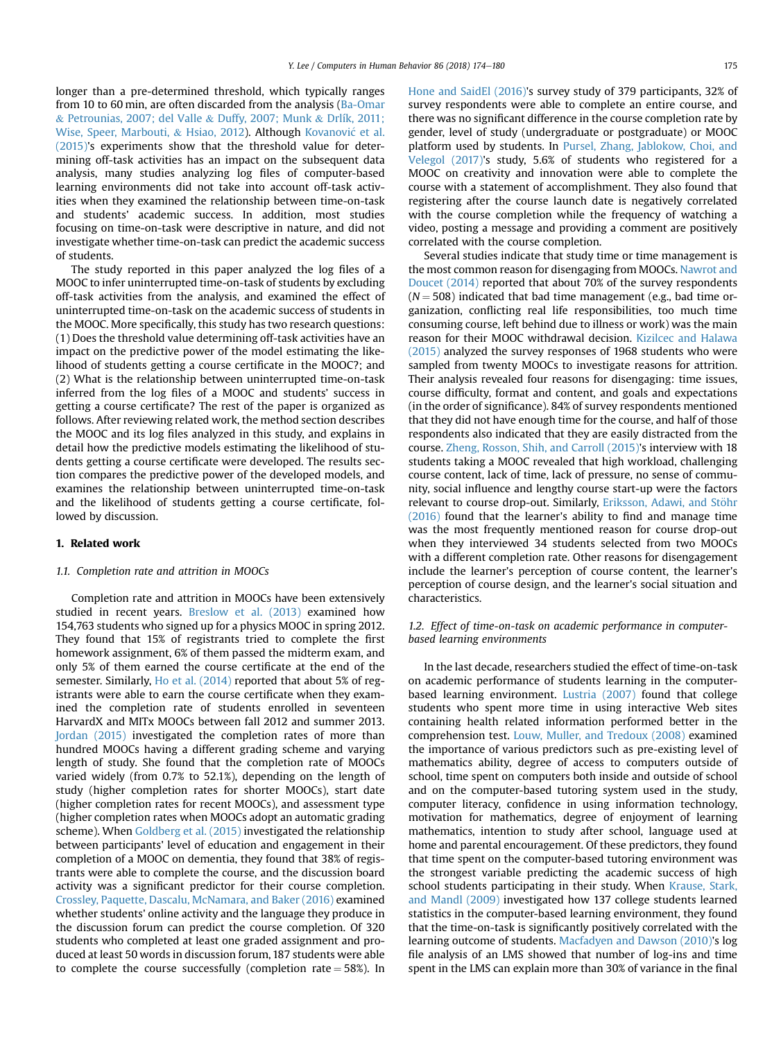longer than a pre-determined threshold, which typically ranges from 10 to 60 min, are often discarded from the analysis [\(Ba-Omar](#page-5-0) & [Petrounias, 2007; del Valle](#page-5-0) & [Duffy, 2007; Munk](#page-5-0) & [Drlík, 2011;](#page-5-0) [Wise, Speer, Marbouti,](#page-5-0) & [Hsiao, 2012\)](#page-5-0). Although [Kovanovi](#page-6-0)[c et al.](#page-6-0) [\(2015\)](#page-6-0)'s experiments show that the threshold value for determining off-task activities has an impact on the subsequent data analysis, many studies analyzing log files of computer-based learning environments did not take into account off-task activities when they examined the relationship between time-on-task and students' academic success. In addition, most studies focusing on time-on-task were descriptive in nature, and did not investigate whether time-on-task can predict the academic success of students.

The study reported in this paper analyzed the log files of a MOOC to infer uninterrupted time-on-task of students by excluding off-task activities from the analysis, and examined the effect of uninterrupted time-on-task on the academic success of students in the MOOC. More specifically, this study has two research questions: (1) Does the threshold value determining off-task activities have an impact on the predictive power of the model estimating the likelihood of students getting a course certificate in the MOOC?; and (2) What is the relationship between uninterrupted time-on-task inferred from the log files of a MOOC and students' success in getting a course certificate? The rest of the paper is organized as follows. After reviewing related work, the method section describes the MOOC and its log files analyzed in this study, and explains in detail how the predictive models estimating the likelihood of students getting a course certificate were developed. The results section compares the predictive power of the developed models, and examines the relationship between uninterrupted time-on-task and the likelihood of students getting a course certificate, followed by discussion.

#### 1. Related work

#### 1.1. Completion rate and attrition in MOOCs

Completion rate and attrition in MOOCs have been extensively studied in recent years. [Breslow et al. \(2013\)](#page-5-0) examined how 154,763 students who signed up for a physics MOOC in spring 2012. They found that 15% of registrants tried to complete the first homework assignment, 6% of them passed the midterm exam, and only 5% of them earned the course certificate at the end of the semester. Similarly, [Ho et al. \(2014\)](#page-6-0) reported that about 5% of registrants were able to earn the course certificate when they examined the completion rate of students enrolled in seventeen HarvardX and MITx MOOCs between fall 2012 and summer 2013. [Jordan \(2015\)](#page-6-0) investigated the completion rates of more than hundred MOOCs having a different grading scheme and varying length of study. She found that the completion rate of MOOCs varied widely (from 0.7% to 52.1%), depending on the length of study (higher completion rates for shorter MOOCs), start date (higher completion rates for recent MOOCs), and assessment type (higher completion rates when MOOCs adopt an automatic grading scheme). When [Goldberg et al. \(2015\)](#page-6-0) investigated the relationship between participants' level of education and engagement in their completion of a MOOC on dementia, they found that 38% of registrants were able to complete the course, and the discussion board activity was a significant predictor for their course completion. [Crossley, Paquette, Dascalu, McNamara, and Baker \(2016\)](#page-6-0) examined whether students' online activity and the language they produce in the discussion forum can predict the course completion. Of 320 students who completed at least one graded assignment and produced at least 50 words in discussion forum, 187 students were able to complete the course successfully (completion rate  $=$  58%). In

[Hone and SaidEl \(2016\)](#page-6-0)'s survey study of 379 participants, 32% of survey respondents were able to complete an entire course, and there was no significant difference in the course completion rate by gender, level of study (undergraduate or postgraduate) or MOOC platform used by students. In [Pursel, Zhang, Jablokow, Choi, and](#page-6-0) [Velegol \(2017\)](#page-6-0)'s study, 5.6% of students who registered for a MOOC on creativity and innovation were able to complete the course with a statement of accomplishment. They also found that registering after the course launch date is negatively correlated with the course completion while the frequency of watching a video, posting a message and providing a comment are positively correlated with the course completion.

Several studies indicate that study time or time management is the most common reason for disengaging from MOOCs. [Nawrot and](#page-6-0) [Doucet \(2014\)](#page-6-0) reported that about 70% of the survey respondents  $(N = 508)$  indicated that bad time management (e.g., bad time organization, conflicting real life responsibilities, too much time consuming course, left behind due to illness or work) was the main reason for their MOOC withdrawal decision. [Kizilcec and Halawa](#page-6-0) [\(2015\)](#page-6-0) analyzed the survey responses of 1968 students who were sampled from twenty MOOCs to investigate reasons for attrition. Their analysis revealed four reasons for disengaging: time issues, course difficulty, format and content, and goals and expectations (in the order of significance). 84% of survey respondents mentioned that they did not have enough time for the course, and half of those respondents also indicated that they are easily distracted from the course. [Zheng, Rosson, Shih, and Carroll \(2015\)](#page-6-0)'s interview with 18 students taking a MOOC revealed that high workload, challenging course content, lack of time, lack of pressure, no sense of community, social influence and lengthy course start-up were the factors relevant to course drop-out. Similarly, Eriksson, Adawi, and Stöhr [\(2016\)](#page-6-0) found that the learner's ability to find and manage time was the most frequently mentioned reason for course drop-out when they interviewed 34 students selected from two MOOCs with a different completion rate. Other reasons for disengagement include the learner's perception of course content, the learner's perception of course design, and the learner's social situation and characteristics.

## 1.2. Effect of time-on-task on academic performance in computerbased learning environments

In the last decade, researchers studied the effect of time-on-task on academic performance of students learning in the computerbased learning environment. [Lustria \(2007\)](#page-6-0) found that college students who spent more time in using interactive Web sites containing health related information performed better in the comprehension test. [Louw, Muller, and Tredoux \(2008\)](#page-6-0) examined the importance of various predictors such as pre-existing level of mathematics ability, degree of access to computers outside of school, time spent on computers both inside and outside of school and on the computer-based tutoring system used in the study, computer literacy, confidence in using information technology, motivation for mathematics, degree of enjoyment of learning mathematics, intention to study after school, language used at home and parental encouragement. Of these predictors, they found that time spent on the computer-based tutoring environment was the strongest variable predicting the academic success of high school students participating in their study. When [Krause, Stark,](#page-6-0) [and Mandl \(2009\)](#page-6-0) investigated how 137 college students learned statistics in the computer-based learning environment, they found that the time-on-task is significantly positively correlated with the learning outcome of students. [Macfadyen and Dawson \(2010\)](#page-6-0)'s log file analysis of an LMS showed that number of log-ins and time spent in the LMS can explain more than 30% of variance in the final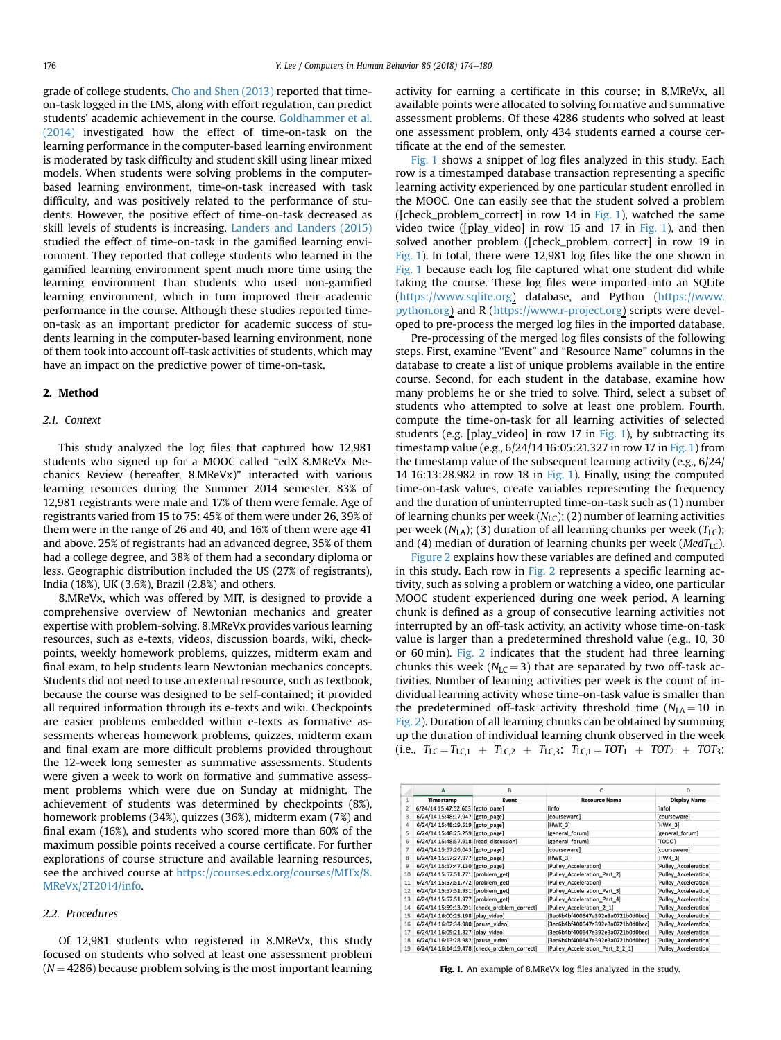grade of college students. [Cho and Shen \(2013\)](#page-5-0) reported that timeon-task logged in the LMS, along with effort regulation, can predict students' academic achievement in the course. [Goldhammer et al.](#page-6-0) [\(2014\)](#page-6-0) investigated how the effect of time-on-task on the learning performance in the computer-based learning environment is moderated by task difficulty and student skill using linear mixed models. When students were solving problems in the computerbased learning environment, time-on-task increased with task difficulty, and was positively related to the performance of students. However, the positive effect of time-on-task decreased as skill levels of students is increasing. [Landers and Landers \(2015\)](#page-6-0) studied the effect of time-on-task in the gamified learning environment. They reported that college students who learned in the gamified learning environment spent much more time using the learning environment than students who used non-gamified learning environment, which in turn improved their academic performance in the course. Although these studies reported timeon-task as an important predictor for academic success of students learning in the computer-based learning environment, none of them took into account off-task activities of students, which may have an impact on the predictive power of time-on-task.

### 2. Method

## 2.1. Context

This study analyzed the log files that captured how 12,981 students who signed up for a MOOC called "edX 8.MReVx Mechanics Review (hereafter, 8.MReVx)" interacted with various learning resources during the Summer 2014 semester. 83% of 12,981 registrants were male and 17% of them were female. Age of registrants varied from 15 to 75: 45% of them were under 26, 39% of them were in the range of 26 and 40, and 16% of them were age 41 and above. 25% of registrants had an advanced degree, 35% of them had a college degree, and 38% of them had a secondary diploma or less. Geographic distribution included the US (27% of registrants), India (18%), UK (3.6%), Brazil (2.8%) and others.

8.MReVx, which was offered by MIT, is designed to provide a comprehensive overview of Newtonian mechanics and greater expertise with problem-solving. 8.MReVx provides various learning resources, such as e-texts, videos, discussion boards, wiki, checkpoints, weekly homework problems, quizzes, midterm exam and final exam, to help students learn Newtonian mechanics concepts. Students did not need to use an external resource, such as textbook, because the course was designed to be self-contained; it provided all required information through its e-texts and wiki. Checkpoints are easier problems embedded within e-texts as formative assessments whereas homework problems, quizzes, midterm exam and final exam are more difficult problems provided throughout the 12-week long semester as summative assessments. Students were given a week to work on formative and summative assessment problems which were due on Sunday at midnight. The achievement of students was determined by checkpoints (8%), homework problems (34%), quizzes (36%), midterm exam (7%) and final exam (16%), and students who scored more than 60% of the maximum possible points received a course certificate. For further explorations of course structure and available learning resources, see the archived course at [https://courses.edx.org/courses/MITx/8.](https://courses.edx.org/courses/MITx/8.MReVx/2T2014/info) [MReVx/2T2014/info.](https://courses.edx.org/courses/MITx/8.MReVx/2T2014/info)

### 2.2. Procedures

Of 12,981 students who registered in 8.MReVx, this study focused on students who solved at least one assessment problem  $(N = 4286)$  because problem solving is the most important learning activity for earning a certificate in this course; in 8.MReVx, all available points were allocated to solving formative and summative assessment problems. Of these 4286 students who solved at least one assessment problem, only 434 students earned a course certificate at the end of the semester.

Fig. 1 shows a snippet of log files analyzed in this study. Each row is a timestamped database transaction representing a specific learning activity experienced by one particular student enrolled in the MOOC. One can easily see that the student solved a problem ([check\_problem\_correct] in row 14 in Fig. 1), watched the same video twice ([play\_video] in row 15 and 17 in Fig. 1), and then solved another problem ([check\_problem correct] in row 19 in Fig. 1). In total, there were 12,981 log files like the one shown in Fig. 1 because each log file captured what one student did while taking the course. These log files were imported into an SQLite ([https://www.sqlite.org\)](https://www.sqlite.org) database, and Python ([https://www.](https://www.python.org) [python.org](https://www.python.org)) and R [\(https://www.r-project.org\)](https://www.r-project.org) scripts were developed to pre-process the merged log files in the imported database.

Pre-processing of the merged log files consists of the following steps. First, examine "Event" and "Resource Name" columns in the database to create a list of unique problems available in the entire course. Second, for each student in the database, examine how many problems he or she tried to solve. Third, select a subset of students who attempted to solve at least one problem. Fourth, compute the time-on-task for all learning activities of selected students (e.g. [play\_video] in row 17 in Fig. 1), by subtracting its timestamp value (e.g., 6/24/14 16:05:21.327 in row 17 in Fig. 1) from the timestamp value of the subsequent learning activity (e.g., 6/24/ 14 16:13:28.982 in row 18 in Fig. 1). Finally, using the computed time-on-task values, create variables representing the frequency and the duration of uninterrupted time-on-task such as (1) number of learning chunks per week  $(N_{\rm LC})$ ; (2) number of learning activities per week ( $N_{LA}$ ); (3) duration of all learning chunks per week ( $T_{LC}$ ); and (4) median of duration of learning chunks per week ( $MedT_{LC}$ ).

[Figure 2](#page-3-0) explains how these variables are defined and computed in this study. Each row in [Fig. 2](#page-3-0) represents a specific learning activity, such as solving a problem or watching a video, one particular MOOC student experienced during one week period. A learning chunk is defined as a group of consecutive learning activities not interrupted by an off-task activity, an activity whose time-on-task value is larger than a predetermined threshold value (e.g., 10, 30 or 60 min). [Fig. 2](#page-3-0) indicates that the student had three learning chunks this week ( $N_{\text{LC}}$  = 3) that are separated by two off-task activities. Number of learning activities per week is the count of individual learning activity whose time-on-task value is smaller than the predetermined off-task activity threshold time  $(N_{LA} = 10$  in [Fig. 2](#page-3-0)). Duration of all learning chunks can be obtained by summing up the duration of individual learning chunk observed in the week (i.e.,  $T_{LC} = T_{LC,1} + T_{LC,2} + T_{LC,3}$ ;  $T_{LC,1} = TOT_1 + TOT_2 + TOT_3$ ;

|                | A                                      | B                                            | c                                  | n                     |
|----------------|----------------------------------------|----------------------------------------------|------------------------------------|-----------------------|
| $\mathbf{1}$   | Timestamp                              | Event                                        | <b>Resource Name</b>               | Display Name          |
| $\overline{2}$ | 6/24/14 15:47:52.603 [goto_page]       |                                              | [info]                             | [info]                |
| 3              | 6/24/14 15:48:17.947 [goto_page]       |                                              | [courseware]                       | [courseware]          |
| 4              | 6/24/14 15:48:19.519 [goto page]       |                                              | [HWK 3]                            | [HWK 3]               |
| 5              | 6/24/14 15:48:25.259 [goto page]       |                                              | [general forum]                    | [general forum]       |
| 6              | 6/24/14 15:48:57.918 [read discussion] |                                              | [general forum]                    | [TODO]                |
| $\overline{7}$ | 6/24/14 15:57:26.043 [goto_page]       |                                              | [courseware]                       | [courseware]          |
| 8              | 6/24/14 15:57:27.977 [goto_page]       |                                              | [HWK 3]                            | [HWK 3]               |
| 9              | 6/24/14 15:57:47.130 [goto_page]       |                                              | [Pulley_Acceleration]              | [Pulley_Acceleration] |
| 10             | 6/24/14 15:57:51.771 [problem_get]     |                                              | [Pulley_Acceleration_Part_2]       | [Pulley_Acceleration] |
| 11             | 6/24/14 15:57:51.772 [problem_get]     |                                              | [Pulley_Acceleration]              | [Pulley_Acceleration] |
| 12             | 6/24/14 15:57:51.931 [problem_get]     |                                              | [Pulley Acceleration Part 3]       | [Pulley_Acceleration] |
| 13             | 6/24/14 15:57:51.977 [problem_get]     |                                              | [Pulley Acceleration Part 4]       | [Pulley_Acceleration] |
| 14             |                                        | 6/24/14 15:59:13.091 [check problem correct] | [Pulley Acceleration 2 1]          | [Pulley Acceleration] |
| 15             | 6/24/14 16:00:25.198 [play_video]      |                                              | [3ec6b4bf400647e392e3a0721b0d0bec] | [Pulley Acceleration] |
| 16             | 6/24/14 16:02:34.980 [pause_video]     |                                              | [3ec6b4bf400647e392e3a0721b0d0bec] | [Pulley Acceleration] |
| 17             | 6/24/14 16:05:21.327 [play_video]      |                                              | [3ec6b4bf400647e392e3a0721b0d0bec] | [Pulley Acceleration] |
| 18             | 6/24/14 16:13:28.982 [pause video]     |                                              | [3ec6b4bf400647e392e3a0721b0d0bec] | [Pulley Acceleration] |
| 19             |                                        | 6/24/14 16:14:19.478 [check problem correct] | [Pulley Acceleration Part 2 2 1]   | [Pulley Acceleration] |

Fig. 1. An example of 8.MReVx log files analyzed in the study.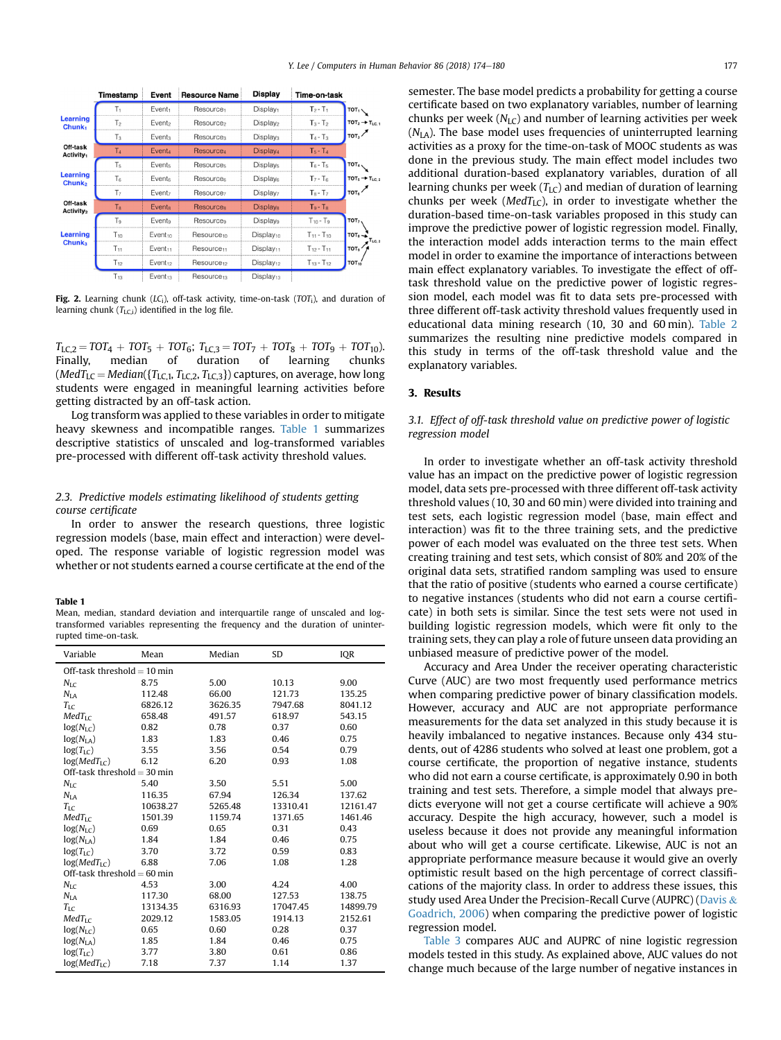<span id="page-3-0"></span>

Fig. 2. Learning chunk  $(LC_i)$ , off-task activity, time-on-task  $(TOT_i)$ , and duration of learning chunk ( $T_{LC,i}$ ) identified in the log file.

 $T_{\text{LC},2} = TOT_4 + TOT_5 + TOT_6$ ;  $T_{\text{LC},3} = TOT_7 + TOT_8 + TOT_9 + TOT_{10}$ ).<br>Finally, median of duration of learning chunks of duration of learning ( $MedT_{LC} = Median({T_{LC,1}, T_{LC,2}, T_{LC,3}})$  captures, on average, how long students were engaged in meaningful learning activities before getting distracted by an off-task action.

Log transform was applied to these variables in order to mitigate heavy skewness and incompatible ranges. Table 1 summarizes descriptive statistics of unscaled and log-transformed variables pre-processed with different off-task activity threshold values.

## 2.3. Predictive models estimating likelihood of students getting course certificate

In order to answer the research questions, three logistic regression models (base, main effect and interaction) were developed. The response variable of logistic regression model was whether or not students earned a course certificate at the end of the

#### Table 1

Mean, median, standard deviation and interquartile range of unscaled and logtransformed variables representing the frequency and the duration of uninterrupted time-on-task.

| Variable                      | Mean     | Median  | <b>SD</b> | IQR      |  |  |
|-------------------------------|----------|---------|-----------|----------|--|--|
| Off-task threshold $=$ 10 min |          |         |           |          |  |  |
| $N_{\rm LC}$                  | 8.75     | 5.00    | 10.13     | 9.00     |  |  |
| $N_{IA}$                      | 112.48   | 66.00   | 121.73    | 135.25   |  |  |
| $T_{\rm LC}$                  | 6826.12  | 3626.35 | 7947.68   | 8041.12  |  |  |
| $MedT_{LC}$                   | 658.48   | 491.57  | 618.97    | 543.15   |  |  |
| $log(N_{LC})$                 | 0.82     | 0.78    | 0.37      | 0.60     |  |  |
| log(N <sub>LA</sub> )         | 1.83     | 1.83    | 0.46      | 0.75     |  |  |
| $log(T_{LC})$                 | 3.55     | 3.56    | 0.54      | 0.79     |  |  |
| $log(MedT_{1c})$              | 6.12     | 6.20    | 0.93      | 1.08     |  |  |
| Off-task threshold $=$ 30 min |          |         |           |          |  |  |
| $N_{\rm LC}$                  | 5.40     | 3.50    | 5.51      | 5.00     |  |  |
| $N_{IA}$                      | 116.35   | 67.94   | 126.34    | 137.62   |  |  |
| $T_{\rm IC}$                  | 10638.27 | 5265.48 | 13310.41  | 12161.47 |  |  |
| $MedT_{LC}$                   | 1501.39  | 1159.74 | 1371.65   | 1461.46  |  |  |
| $log(N_{LC})$                 | 0.69     | 0.65    | 0.31      | 0.43     |  |  |
| log(N <sub>LA</sub> )         | 1.84     | 1.84    | 0.46      | 0.75     |  |  |
| $log(T_{LC})$                 | 3.70     | 3.72    | 0.59      | 0.83     |  |  |
| $log(MedT_{1c})$              | 6.88     | 7.06    | 1.08      | 1.28     |  |  |
| Off-task threshold $= 60$ min |          |         |           |          |  |  |
| $N_{\rm LC}$                  | 4.53     | 3.00    | 4.24      | 4.00     |  |  |
| $N_{IA}$                      | 117.30   | 68.00   | 127.53    | 138.75   |  |  |
| $T_{\rm LC}$                  | 13134.35 | 6316.93 | 17047.45  | 14899.79 |  |  |
| $MedT_{1C}$                   | 2029.12  | 1583.05 | 1914.13   | 2152.61  |  |  |
| $log(N_{LC})$                 | 0.65     | 0.60    | 0.28      | 0.37     |  |  |
| log(N <sub>LA</sub> )         | 1.85     | 1.84    | 0.46      | 0.75     |  |  |
| $log(T_{LC})$                 | 3.77     | 3.80    | 0.61      | 0.86     |  |  |
| $log(MedT_{LC})$              | 7.18     | 7.37    | 1.14      | 1.37     |  |  |

semester. The base model predicts a probability for getting a course certificate based on two explanatory variables, number of learning chunks per week  $(N_{\text{LC}})$  and number of learning activities per week  $(N<sub>LA</sub>)$ . The base model uses frequencies of uninterrupted learning activities as a proxy for the time-on-task of MOOC students as was done in the previous study. The main effect model includes two additional duration-based explanatory variables, duration of all learning chunks per week  $(T_{\text{LC}})$  and median of duration of learning chunks per week ( $MedT_{LC}$ ), in order to investigate whether the duration-based time-on-task variables proposed in this study can improve the predictive power of logistic regression model. Finally, the interaction model adds interaction terms to the main effect model in order to examine the importance of interactions between main effect explanatory variables. To investigate the effect of offtask threshold value on the predictive power of logistic regression model, each model was fit to data sets pre-processed with three different off-task activity threshold values frequently used in educational data mining research (10, 30 and 60 min). [Table 2](#page-4-0) summarizes the resulting nine predictive models compared in this study in terms of the off-task threshold value and the explanatory variables.

#### 3. Results

## 3.1. Effect of off-task threshold value on predictive power of logistic regression model

In order to investigate whether an off-task activity threshold value has an impact on the predictive power of logistic regression model, data sets pre-processed with three different off-task activity threshold values (10, 30 and 60 min) were divided into training and test sets, each logistic regression model (base, main effect and interaction) was fit to the three training sets, and the predictive power of each model was evaluated on the three test sets. When creating training and test sets, which consist of 80% and 20% of the original data sets, stratified random sampling was used to ensure that the ratio of positive (students who earned a course certificate) to negative instances (students who did not earn a course certificate) in both sets is similar. Since the test sets were not used in building logistic regression models, which were fit only to the training sets, they can play a role of future unseen data providing an unbiased measure of predictive power of the model.

Accuracy and Area Under the receiver operating characteristic Curve (AUC) are two most frequently used performance metrics when comparing predictive power of binary classification models. However, accuracy and AUC are not appropriate performance measurements for the data set analyzed in this study because it is heavily imbalanced to negative instances. Because only 434 students, out of 4286 students who solved at least one problem, got a course certificate, the proportion of negative instance, students who did not earn a course certificate, is approximately 0.90 in both training and test sets. Therefore, a simple model that always predicts everyone will not get a course certificate will achieve a 90% accuracy. Despite the high accuracy, however, such a model is useless because it does not provide any meaningful information about who will get a course certificate. Likewise, AUC is not an appropriate performance measure because it would give an overly optimistic result based on the high percentage of correct classifications of the majority class. In order to address these issues, this study used Area Under the Precision-Recall Curve (AUPRC) ([Davis](#page-6-0)  $\&$ [Goadrich, 2006\)](#page-6-0) when comparing the predictive power of logistic regression model.

[Table 3](#page-4-0) compares AUC and AUPRC of nine logistic regression models tested in this study. As explained above, AUC values do not change much because of the large number of negative instances in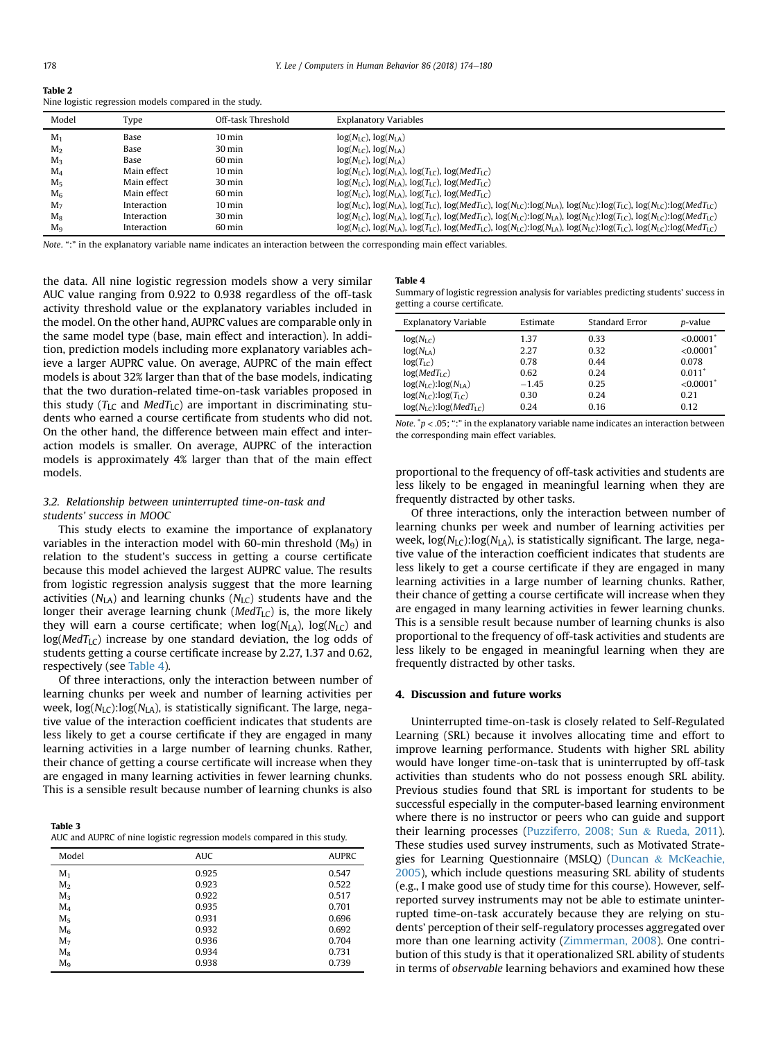<span id="page-4-0"></span>

| Table 2                                                |  |
|--------------------------------------------------------|--|
| Nine logistic regression models compared in the study. |  |

| Model          | Type        | Off-task Threshold  | Explanatory Variables                                                                                                                                                                                 |
|----------------|-------------|---------------------|-------------------------------------------------------------------------------------------------------------------------------------------------------------------------------------------------------|
| $M_1$          | Base        | $10 \,\mathrm{min}$ | $log(NLC)$ , $log(NLA)$                                                                                                                                                                               |
| M <sub>2</sub> | Base        | $30 \text{ min}$    | $log(NLC)$ , $log(NLA)$                                                                                                                                                                               |
| $M_{3}$        | Base        | $60 \text{ min}$    | $log(NLC)$ , $log(NLA)$                                                                                                                                                                               |
| $M_4$          | Main effect | $10 \text{ min}$    | $log(NLC)$ , $log(NLA)$ , $log(TLC)$ , $log(MedTLC)$                                                                                                                                                  |
| M <sub>5</sub> | Main effect | $30 \text{ min}$    | $log(N_{\rm LC})$ , $log(N_{\rm LA})$ , $log(T_{\rm LC})$ , $log(MedT_{\rm LC})$                                                                                                                      |
| M <sub>6</sub> | Main effect | 60 min              | $log(NLC)$ , $log(NLA)$ , $log(TLC)$ , $log(MedTLC)$                                                                                                                                                  |
| M <sub>7</sub> | Interaction | $10 \text{ min}$    | $log(N_{\rm LC})$ , $log(N_{\rm LA})$ , $log(T_{\rm LC})$ , $log(M_{\rm E}T_{\rm LC})$ , $log(N_{\rm LC})$ : $log(N_{\rm LC})$ , $log(T_{\rm LC})$ , $log(N_{\rm LC})$ ; $log(M_{\rm LC})$            |
| $M_{\rm R}$    | Interaction | $30 \text{ min}$    | $log(N_{\rm LC})$ , $log(N_{\rm LA})$ , $log(T_{\rm LC})$ , $log(M_{\rm LC})$ , $log(N_{\rm LC})$ ; $log(N_{\rm LA})$ , $log(N_{\rm LC})$ ; $log(T_{\rm LC})$ , $log(N_{\rm LC})$ ; $log(M_{\rm LC})$ |
| $M_{\rm Q}$    | Interaction | 60 min              | $log(N_{\rm LC})$ , $log(N_{\rm LA})$ , $log(T_{\rm LC})$ , $log(M_{\rm U})$ , $log(N_{\rm LC})$ : $log(N_{\rm LC})$ ; $log(N_{\rm LC})$ ; $log(T_{\rm LC})$ , $log(N_{\rm U})$ ; $log(M_{\rm U})$    |

Note. ":" in the explanatory variable name indicates an interaction between the corresponding main effect variables.

the data. All nine logistic regression models show a very similar AUC value ranging from 0.922 to 0.938 regardless of the off-task activity threshold value or the explanatory variables included in the model. On the other hand, AUPRC values are comparable only in the same model type (base, main effect and interaction). In addition, prediction models including more explanatory variables achieve a larger AUPRC value. On average, AUPRC of the main effect models is about 32% larger than that of the base models, indicating that the two duration-related time-on-task variables proposed in this study ( $T_{LC}$  and Med $T_{LC}$ ) are important in discriminating students who earned a course certificate from students who did not. On the other hand, the difference between main effect and interaction models is smaller. On average, AUPRC of the interaction models is approximately 4% larger than that of the main effect models.

## 3.2. Relationship between uninterrupted time-on-task and students' success in MOOC

This study elects to examine the importance of explanatory variables in the interaction model with 60-min threshold  $(M<sub>9</sub>)$  in relation to the student's success in getting a course certificate because this model achieved the largest AUPRC value. The results from logistic regression analysis suggest that the more learning activities ( $N_{LA}$ ) and learning chunks ( $N_{LC}$ ) students have and the longer their average learning chunk ( $MedT_{LC}$ ) is, the more likely they will earn a course certificate; when  $log(N_{LA})$ ,  $log(N_{LC})$  and  $log(MedT_{LC})$  increase by one standard deviation, the log odds of students getting a course certificate increase by 2.27, 1.37 and 0.62, respectively (see Table 4).

Of three interactions, only the interaction between number of learning chunks per week and number of learning activities per week,  $log(N_{LC})$ : $log(N_{LA})$ , is statistically significant. The large, negative value of the interaction coefficient indicates that students are less likely to get a course certificate if they are engaged in many learning activities in a large number of learning chunks. Rather, their chance of getting a course certificate will increase when they are engaged in many learning activities in fewer learning chunks. This is a sensible result because number of learning chunks is also

| Table 3                                                                  |  |
|--------------------------------------------------------------------------|--|
| AUC and AUPRC of nine logistic regression models compared in this study. |  |

| Model          | AUC.  | <b>AUPRC</b> |
|----------------|-------|--------------|
| $M_1$          | 0.925 | 0.547        |
| M <sub>2</sub> | 0.923 | 0.522        |
| $M_{3}$        | 0.922 | 0.517        |
| $M_4$          | 0.935 | 0.701        |
| M <sub>5</sub> | 0.931 | 0.696        |
| M <sub>6</sub> | 0.932 | 0.692        |
| M <sub>7</sub> | 0.936 | 0.704        |
| $M_8$          | 0.934 | 0.731        |
| M <sub>9</sub> | 0.938 | 0.739        |

#### Table 4

| Summary of logistic regression analysis for variables predicting students' success in |  |  |  |
|---------------------------------------------------------------------------------------|--|--|--|
| getting a course certificate.                                                         |  |  |  |

| 1.37<br>log(N <sub>LC</sub> )<br>0.33<br>log(N <sub>I A</sub> )<br>2.27<br>0.32<br>$log(T_{1c})$<br>0.78<br>0.078<br>0.44<br>$log(MedT_{1C})$<br>0.62<br>0.24<br>$log(NLC)$ : $log(NLA)$<br>$-1.45$<br>0.25 | $< 0.0001$ <sup>*</sup><br>$< 0.0001$ <sup>*</sup><br>$0.011$ <sup>*</sup><br>$< 0.0001$ <sup>*</sup> |
|-------------------------------------------------------------------------------------------------------------------------------------------------------------------------------------------------------------|-------------------------------------------------------------------------------------------------------|
| $log(NLC)$ : $log(TLC)$<br>0.30<br>0.24<br>0.21<br>$log(N1C)$ : $log(MedT1C)$<br>0.24<br>0.12<br>0.16                                                                                                       |                                                                                                       |

Note.  $\mathbb{R}^p$  < .05; ":" in the explanatory variable name indicates an interaction between the corresponding main effect variables.

proportional to the frequency of off-task activities and students are less likely to be engaged in meaningful learning when they are frequently distracted by other tasks.

Of three interactions, only the interaction between number of learning chunks per week and number of learning activities per week,  $log(N_{\text{LC}})$ : $log(N_{\text{LA}})$ , is statistically significant. The large, negative value of the interaction coefficient indicates that students are less likely to get a course certificate if they are engaged in many learning activities in a large number of learning chunks. Rather, their chance of getting a course certificate will increase when they are engaged in many learning activities in fewer learning chunks. This is a sensible result because number of learning chunks is also proportional to the frequency of off-task activities and students are less likely to be engaged in meaningful learning when they are frequently distracted by other tasks.

## 4. Discussion and future works

Uninterrupted time-on-task is closely related to Self-Regulated Learning (SRL) because it involves allocating time and effort to improve learning performance. Students with higher SRL ability would have longer time-on-task that is uninterrupted by off-task activities than students who do not possess enough SRL ability. Previous studies found that SRL is important for students to be successful especially in the computer-based learning environment where there is no instructor or peers who can guide and support their learning processes [\(Puzziferro, 2008; Sun](#page-6-0) & [Rueda, 2011\)](#page-6-0). These studies used survey instruments, such as Motivated Strategies for Learning Questionnaire (MSLQ) [\(Duncan](#page-6-0) & [McKeachie,](#page-6-0) [2005](#page-6-0)), which include questions measuring SRL ability of students (e.g., I make good use of study time for this course). However, selfreported survey instruments may not be able to estimate uninterrupted time-on-task accurately because they are relying on students' perception of their self-regulatory processes aggregated over more than one learning activity [\(Zimmerman, 2008\)](#page-6-0). One contribution of this study is that it operationalized SRL ability of students in terms of observable learning behaviors and examined how these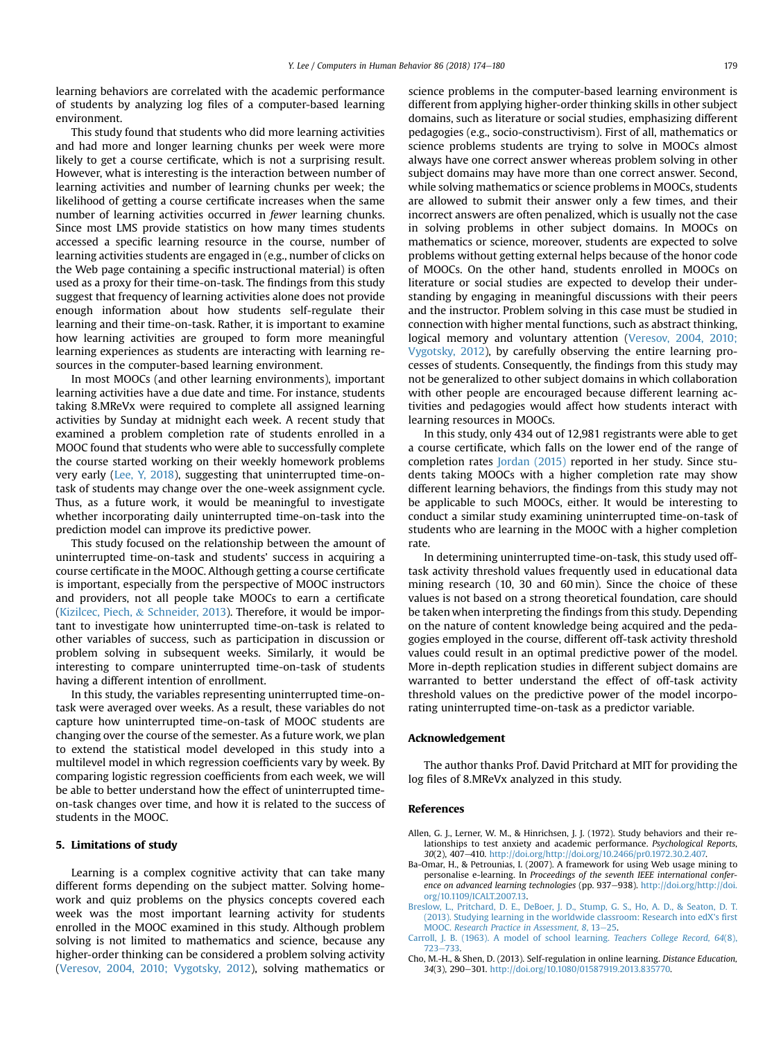<span id="page-5-0"></span>learning behaviors are correlated with the academic performance of students by analyzing log files of a computer-based learning environment.

This study found that students who did more learning activities and had more and longer learning chunks per week were more likely to get a course certificate, which is not a surprising result. However, what is interesting is the interaction between number of learning activities and number of learning chunks per week; the likelihood of getting a course certificate increases when the same number of learning activities occurred in fewer learning chunks. Since most LMS provide statistics on how many times students accessed a specific learning resource in the course, number of learning activities students are engaged in (e.g., number of clicks on the Web page containing a specific instructional material) is often used as a proxy for their time-on-task. The findings from this study suggest that frequency of learning activities alone does not provide enough information about how students self-regulate their learning and their time-on-task. Rather, it is important to examine how learning activities are grouped to form more meaningful learning experiences as students are interacting with learning resources in the computer-based learning environment.

In most MOOCs (and other learning environments), important learning activities have a due date and time. For instance, students taking 8.MReVx were required to complete all assigned learning activities by Sunday at midnight each week. A recent study that examined a problem completion rate of students enrolled in a MOOC found that students who were able to successfully complete the course started working on their weekly homework problems very early [\(Lee, Y, 2018\)](#page-6-0), suggesting that uninterrupted time-ontask of students may change over the one-week assignment cycle. Thus, as a future work, it would be meaningful to investigate whether incorporating daily uninterrupted time-on-task into the prediction model can improve its predictive power.

This study focused on the relationship between the amount of uninterrupted time-on-task and students' success in acquiring a course certificate in the MOOC. Although getting a course certificate is important, especially from the perspective of MOOC instructors and providers, not all people take MOOCs to earn a certificate ([Kizilcec, Piech,](#page-6-0) & [Schneider, 2013\)](#page-6-0). Therefore, it would be important to investigate how uninterrupted time-on-task is related to other variables of success, such as participation in discussion or problem solving in subsequent weeks. Similarly, it would be interesting to compare uninterrupted time-on-task of students having a different intention of enrollment.

In this study, the variables representing uninterrupted time-ontask were averaged over weeks. As a result, these variables do not capture how uninterrupted time-on-task of MOOC students are changing over the course of the semester. As a future work, we plan to extend the statistical model developed in this study into a multilevel model in which regression coefficients vary by week. By comparing logistic regression coefficients from each week, we will be able to better understand how the effect of uninterrupted timeon-task changes over time, and how it is related to the success of students in the MOOC.

#### 5. Limitations of study

Learning is a complex cognitive activity that can take many different forms depending on the subject matter. Solving homework and quiz problems on the physics concepts covered each week was the most important learning activity for students enrolled in the MOOC examined in this study. Although problem solving is not limited to mathematics and science, because any higher-order thinking can be considered a problem solving activity ([Veresov, 2004, 2010; Vygotsky, 2012](#page-6-0)), solving mathematics or science problems in the computer-based learning environment is different from applying higher-order thinking skills in other subject domains, such as literature or social studies, emphasizing different pedagogies (e.g., socio-constructivism). First of all, mathematics or science problems students are trying to solve in MOOCs almost always have one correct answer whereas problem solving in other subject domains may have more than one correct answer. Second, while solving mathematics or science problems in MOOCs, students are allowed to submit their answer only a few times, and their incorrect answers are often penalized, which is usually not the case in solving problems in other subject domains. In MOOCs on mathematics or science, moreover, students are expected to solve problems without getting external helps because of the honor code of MOOCs. On the other hand, students enrolled in MOOCs on literature or social studies are expected to develop their understanding by engaging in meaningful discussions with their peers and the instructor. Problem solving in this case must be studied in connection with higher mental functions, such as abstract thinking, logical memory and voluntary attention [\(Veresov, 2004, 2010;](#page-6-0) [Vygotsky, 2012\)](#page-6-0), by carefully observing the entire learning processes of students. Consequently, the findings from this study may not be generalized to other subject domains in which collaboration with other people are encouraged because different learning activities and pedagogies would affect how students interact with learning resources in MOOCs.

In this study, only 434 out of 12,981 registrants were able to get a course certificate, which falls on the lower end of the range of completion rates [Jordan \(2015\)](#page-6-0) reported in her study. Since students taking MOOCs with a higher completion rate may show different learning behaviors, the findings from this study may not be applicable to such MOOCs, either. It would be interesting to conduct a similar study examining uninterrupted time-on-task of students who are learning in the MOOC with a higher completion rate.

In determining uninterrupted time-on-task, this study used offtask activity threshold values frequently used in educational data mining research (10, 30 and 60 min). Since the choice of these values is not based on a strong theoretical foundation, care should be taken when interpreting the findings from this study. Depending on the nature of content knowledge being acquired and the pedagogies employed in the course, different off-task activity threshold values could result in an optimal predictive power of the model. More in-depth replication studies in different subject domains are warranted to better understand the effect of off-task activity threshold values on the predictive power of the model incorporating uninterrupted time-on-task as a predictor variable.

#### Acknowledgement

The author thanks Prof. David Pritchard at MIT for providing the log files of 8.MReVx analyzed in this study.

#### References

- Allen, G. J., Lerner, W. M., & Hinrichsen, J. J. (1972). Study behaviors and their relationships to test anxiety and academic performance. Psychological Reports, 30(2), 407-410. [http://doi.org/http://doi.org/10.2466/pr0.1972.30.2.407.](http://doi.org/http://doi.org/10.2466/pr0.1972.30.2.407)
- Ba-Omar, H., & Petrounias, I. (2007). A framework for using Web usage mining to personalise e-learning. In Proceedings of the seventh IEEE international conference on advanced learning technologies (pp. 937-938). [http://doi.org/http://doi.](http://doi.org/http://doi.org/10.1109/ICALT.2007.13) [org/10.1109/ICALT.2007.13](http://doi.org/http://doi.org/10.1109/ICALT.2007.13).
- [Breslow, L., Pritchard, D. E., DeBoer, J. D., Stump, G. S., Ho, A. D., & Seaton, D. T.](http://refhub.elsevier.com/S0747-5632(18)30207-3/sref3) [\(2013\). Studying learning in the worldwide classroom: Research into edX's](http://refhub.elsevier.com/S0747-5632(18)30207-3/sref3) first MOOC. [Research Practice in Assessment, 8](http://refhub.elsevier.com/S0747-5632(18)30207-3/sref3), 13-[25](http://refhub.elsevier.com/S0747-5632(18)30207-3/sref3).
- [Carroll, J. B. \(1963\). A model of school learning.](http://refhub.elsevier.com/S0747-5632(18)30207-3/sref4) Teachers College Record, 64(8), [723](http://refhub.elsevier.com/S0747-5632(18)30207-3/sref4)–733
- Cho, M.-H., & Shen, D. (2013). Self-regulation in online learning. Distance Education, 34(3), 290-301. <http://doi.org/10.1080/01587919.2013.835770>.